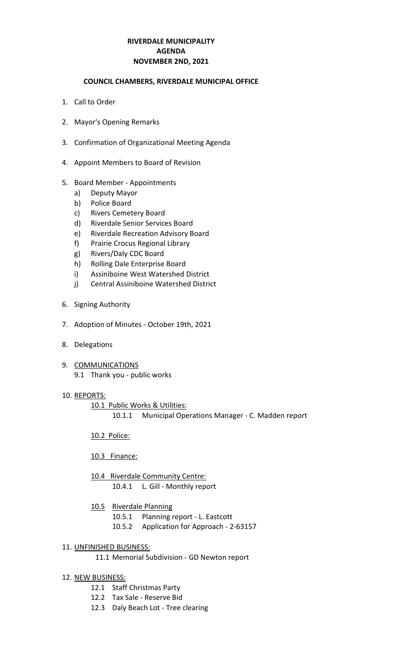## **RIVERDALE MUNICIPALITY NOVEMBER 2ND, 2021 AGENDA**

#### **COUNCIL CHAMBERS, RIVERDALE MUNICIPAL OFFICE**

- 1. Call to Order
- 2. Mayor's Opening Remarks
- 3. Confirmation of Organizational Meeting Agenda
- 4. Appoint Members to Board of Revision

## 5. Board Member - Appointments

- a) Deputy Mayor
- b) Police Board
- c) Rivers Cemetery Board
- d) Riverdale Senior Services Board
- e) Riverdale Recreation Advisory Board
- f) Prairie Crocus Regional Library
- g) Rivers/Daly CDC Board
- h) Rolling Dale Enterprise Board
- i) Assiniboine West Watershed District
- j) Central Assiniboine Watershed District
- 6. Signing Authority
- 7. Adoption of Minutes October 19th, 2021
- 8. Delegations
- 9. COMMUNICATIONS 9.1 Thank you - public works
- 10. REPORTS:

10.1 Public Works & Utilities: 10.1.1 Municipal Operations Manager - C. Madden report

10.2 Police:

### 10.3 Finance:

- 10.4 Riverdale Community Centre: 10.4.1 L. Gill - Monthly report
- 10.5 Riverdale Planning
	- 10.5.1 Planning report L. Eastcott
	- 10.5.2 Application for Approach 2-63157

## 11. UNFINISHED BUSINESS:

- 11.1 Memorial Subdivision GD Newton report
- 12. NEW BUSINESS:
	- 12.1 Staff Christmas Party
	- 12.2 Tax Sale Reserve Bid
	- 12.3 Daly Beach Lot Tree clearing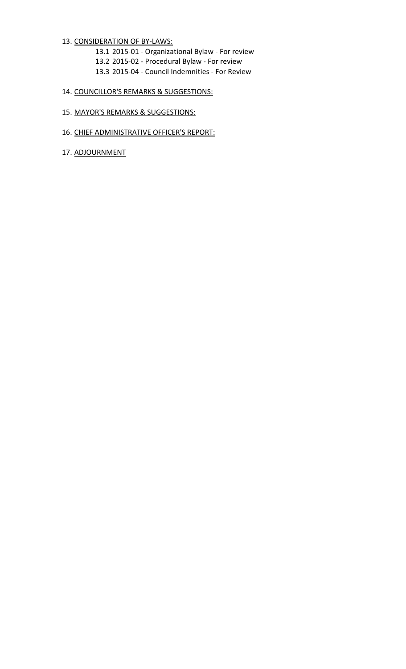### 13. CONSIDERATION OF BY-LAWS:

13.1 2015-01 - Organizational Bylaw - For review

13.2 2015-02 - Procedural Bylaw - For review

13.3 2015-04 - Council Indemnities - For Review

## 14. COUNCILLOR'S REMARKS & SUGGESTIONS:

- 15. MAYOR'S REMARKS & SUGGESTIONS:
- 16. CHIEF ADMINISTRATIVE OFFICER'S REPORT:
- 17. ADJOURNMENT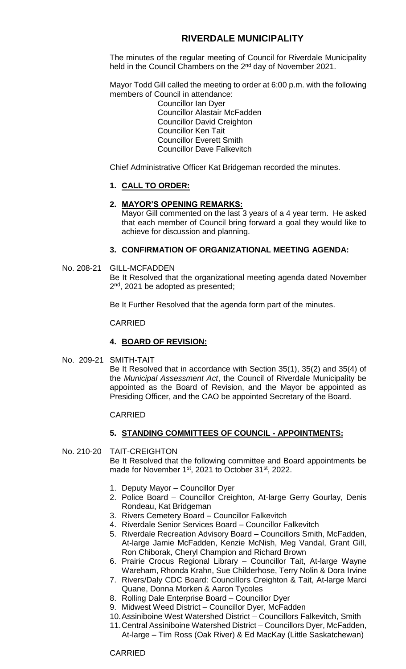# **RIVERDALE MUNICIPALITY**

The minutes of the regular meeting of Council for Riverdale Municipality held in the Council Chambers on the 2<sup>nd</sup> day of November 2021.

Mayor Todd Gill called the meeting to order at 6:00 p.m. with the following members of Council in attendance:

Councillor Ian Dyer Councillor Alastair McFadden Councillor David Creighton Councillor Ken Tait Councillor Everett Smith Councillor Dave Falkevitch

Chief Administrative Officer Kat Bridgeman recorded the minutes.

## **1. CALL TO ORDER:**

## **2. MAYOR'S OPENING REMARKS:**

Mayor Gill commented on the last 3 years of a 4 year term. He asked that each member of Council bring forward a goal they would like to achieve for discussion and planning.

## **3. CONFIRMATION OF ORGANIZATIONAL MEETING AGENDA:**

### No. 208-21 GILL-MCFADDEN

Be It Resolved that the organizational meeting agenda dated November 2<sup>nd</sup>, 2021 be adopted as presented;

Be It Further Resolved that the agenda form part of the minutes.

#### CARRIED

### **4. BOARD OF REVISION:**

No. 209-21 SMITH-TAIT

Be It Resolved that in accordance with Section 35(1), 35(2) and 35(4) of the *Municipal Assessment Act*, the Council of Riverdale Municipality be appointed as the Board of Revision, and the Mayor be appointed as Presiding Officer, and the CAO be appointed Secretary of the Board.

### CARRIED

### **5. STANDING COMMITTEES OF COUNCIL - APPOINTMENTS:**

No. 210-20 TAIT-CREIGHTON

Be It Resolved that the following committee and Board appointments be made for November 1<sup>st</sup>, 2021 to October 31<sup>st</sup>, 2022.

- 1. Deputy Mayor Councillor Dyer
- 2. Police Board Councillor Creighton, At-large Gerry Gourlay, Denis Rondeau, Kat Bridgeman
- 3. Rivers Cemetery Board Councillor Falkevitch
- 4. Riverdale Senior Services Board Councillor Falkevitch
- 5. Riverdale Recreation Advisory Board Councillors Smith, McFadden, At-large Jamie McFadden, Kenzie McNish, Meg Vandal, Grant Gill, Ron Chiborak, Cheryl Champion and Richard Brown
- 6. Prairie Crocus Regional Library Councillor Tait, At-large Wayne Wareham, Rhonda Krahn, Sue Childerhose, Terry Nolin & Dora Irvine
- 7. Rivers/Daly CDC Board: Councillors Creighton & Tait, At-large Marci Quane, Donna Morken & Aaron Tycoles
- 8. Rolling Dale Enterprise Board Councillor Dyer
- 9. Midwest Weed District Councillor Dyer, McFadden
- 10.Assiniboine West Watershed District Councillors Falkevitch, Smith
- 11.Central Assiniboine Watershed District Councillors Dyer, McFadden, At-large – Tim Ross (Oak River) & Ed MacKay (Little Saskatchewan)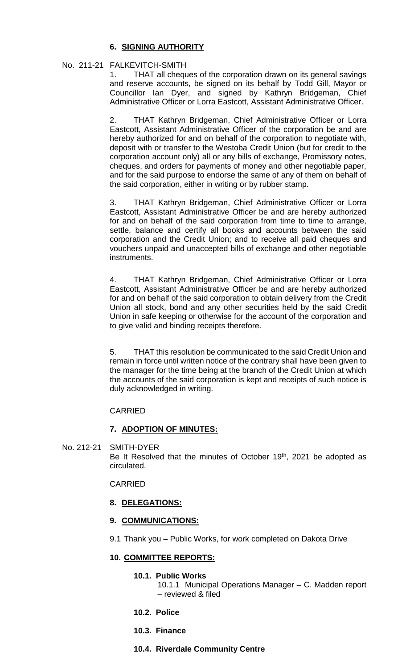## **6. SIGNING AUTHORITY**

## No. 211-21 FALKEVITCH-SMITH

1. THAT all cheques of the corporation drawn on its general savings and reserve accounts, be signed on its behalf by Todd Gill, Mayor or Councillor Ian Dyer, and signed by Kathryn Bridgeman, Chief Administrative Officer or Lorra Eastcott, Assistant Administrative Officer.

2. THAT Kathryn Bridgeman, Chief Administrative Officer or Lorra Eastcott, Assistant Administrative Officer of the corporation be and are hereby authorized for and on behalf of the corporation to negotiate with, deposit with or transfer to the Westoba Credit Union (but for credit to the corporation account only) all or any bills of exchange, Promissory notes, cheques, and orders for payments of money and other negotiable paper, and for the said purpose to endorse the same of any of them on behalf of the said corporation, either in writing or by rubber stamp.

3. THAT Kathryn Bridgeman, Chief Administrative Officer or Lorra Eastcott, Assistant Administrative Officer be and are hereby authorized for and on behalf of the said corporation from time to time to arrange, settle, balance and certify all books and accounts between the said corporation and the Credit Union; and to receive all paid cheques and vouchers unpaid and unaccepted bills of exchange and other negotiable instruments.

4. THAT Kathryn Bridgeman, Chief Administrative Officer or Lorra Eastcott, Assistant Administrative Officer be and are hereby authorized for and on behalf of the said corporation to obtain delivery from the Credit Union all stock, bond and any other securities held by the said Credit Union in safe keeping or otherwise for the account of the corporation and to give valid and binding receipts therefore.

5. THAT this resolution be communicated to the said Credit Union and remain in force until written notice of the contrary shall have been given to the manager for the time being at the branch of the Credit Union at which the accounts of the said corporation is kept and receipts of such notice is duly acknowledged in writing.

## CARRIED

## **7. ADOPTION OF MINUTES:**

No. 212-21 SMITH-DYER

Be It Resolved that the minutes of October 19<sup>th</sup>, 2021 be adopted as circulated.

## CARRIED

## **8. DELEGATIONS:**

## **9. COMMUNICATIONS:**

9.1 Thank you – Public Works, for work completed on Dakota Drive

## **10. COMMITTEE REPORTS:**

### **10.1. Public Works**

10.1.1 Municipal Operations Manager – C. Madden report – reviewed & filed

- **10.2. Police**
- **10.3. Finance**
- **10.4. Riverdale Community Centre**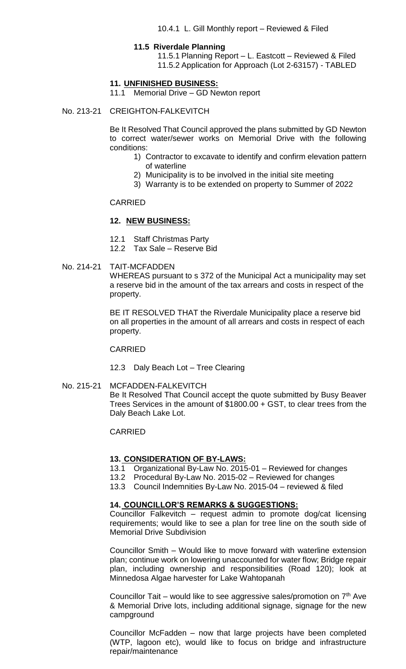#### **11.5 Riverdale Planning**

11.5.1 Planning Report – L. Eastcott – Reviewed & Filed 11.5.2 Application for Approach (Lot 2-63157) - TABLED

#### **11. UNFINISHED BUSINESS:**

11.1 Memorial Drive – GD Newton report

#### No. 213-21 CREIGHTON-FALKEVITCH

Be It Resolved That Council approved the plans submitted by GD Newton to correct water/sewer works on Memorial Drive with the following conditions:

- 1) Contractor to excavate to identify and confirm elevation pattern of waterline
- 2) Municipality is to be involved in the initial site meeting
- 3) Warranty is to be extended on property to Summer of 2022

#### CARRIED

#### **12. NEW BUSINESS:**

- 12.1 Staff Christmas Party
- 12.2 Tax Sale Reserve Bid

#### No. 214-21 TAIT-MCFADDEN

WHEREAS pursuant to s 372 of the Municipal Act a municipality may set a reserve bid in the amount of the tax arrears and costs in respect of the property.

BE IT RESOLVED THAT the Riverdale Municipality place a reserve bid on all properties in the amount of all arrears and costs in respect of each property.

#### CARRIED

12.3 Daly Beach Lot – Tree Clearing

#### No. 215-21 MCFADDEN-FALKEVITCH

Be It Resolved That Council accept the quote submitted by Busy Beaver Trees Services in the amount of \$1800.00 + GST, to clear trees from the Daly Beach Lake Lot.

#### CARRIED

#### **13. CONSIDERATION OF BY-LAWS:**

- 13.1 Organizational By-Law No. 2015-01 Reviewed for changes
- 13.2 Procedural By-Law No. 2015-02 Reviewed for changes
- 13.3 Council Indemnities By-Law No. 2015-04 reviewed & filed

### **14. COUNCILLOR'S REMARKS & SUGGESTIONS:**

Councillor Falkevitch – request admin to promote dog/cat licensing requirements; would like to see a plan for tree line on the south side of Memorial Drive Subdivision

Councillor Smith – Would like to move forward with waterline extension plan; continue work on lowering unaccounted for water flow; Bridge repair plan, including ownership and responsibilities (Road 120); look at Minnedosa Algae harvester for Lake Wahtopanah

Councillor Tait – would like to see aggressive sales/promotion on  $7<sup>th</sup>$  Ave & Memorial Drive lots, including additional signage, signage for the new campground

Councillor McFadden – now that large projects have been completed (WTP, lagoon etc), would like to focus on bridge and infrastructure repair/maintenance